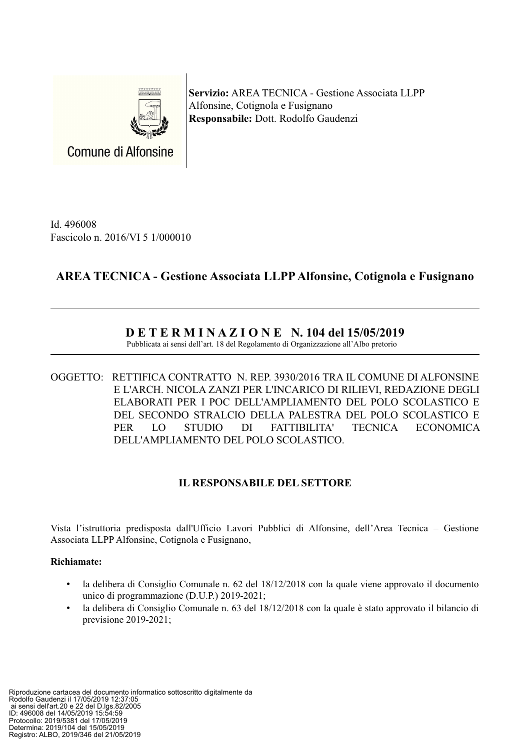

Servizio: AREA TECNICA - Gestione Associata LLPP Alfonsine, Cotignola e Fusignano Responsabile: Dott. Rodolfo Gaudenzi

Id. 496008 Fascicolo n. 2016/VI 5 1/000010

# **AREA TECNICA - Gestione Associata LLPP Alfonsine, Cotignola e Fusignano**

## $D E T E R M I N A Z I O N E N.$  104 del 15/05/2019

Pubblicata ai sensi dell'art. 18 del Regolamento di Organizzazione all'Albo pretorio

OGGETTO: RETTIFICA CONTRATTO N. REP. 3930/2016 TRA IL COMUNE DI ALFONSINE E L'ARCH. NICOLA ZANZI PER L'INCARICO DI RILIEVI, REDAZIONE DEGLI ELABORATI PER I POC DELL'AMPLIAMENTO DEL POLO SCOLASTICO E DEL SECONDO STRALCIO DELLA PALESTRA DEL POLO SCOLASTICO E **PER**  $LO$ **STUDIO**  $DI$ FATTIBILITA' **TECNICA ECONOMICA** DELL'AMPLIAMENTO DEL POLO SCOLASTICO.

### **IL RESPONSABILE DEL SETTORE**

Vista l'istruttoria predisposta dall'Ufficio Lavori Pubblici di Alfonsine, dell'Area Tecnica – Gestione Associata LLPP Alfonsine, Cotignola e Fusignano,

### **Richiamate:**

- la delibera di Consiglio Comunale n. 62 del 18/12/2018 con la quale viene approvato il documento unico di programmazione (D.U.P.) 2019-2021;
- la delibera di Consiglio Comunale n. 63 del 18/12/2018 con la quale è stato approvato il bilancio di previsione  $2019-2021$ ;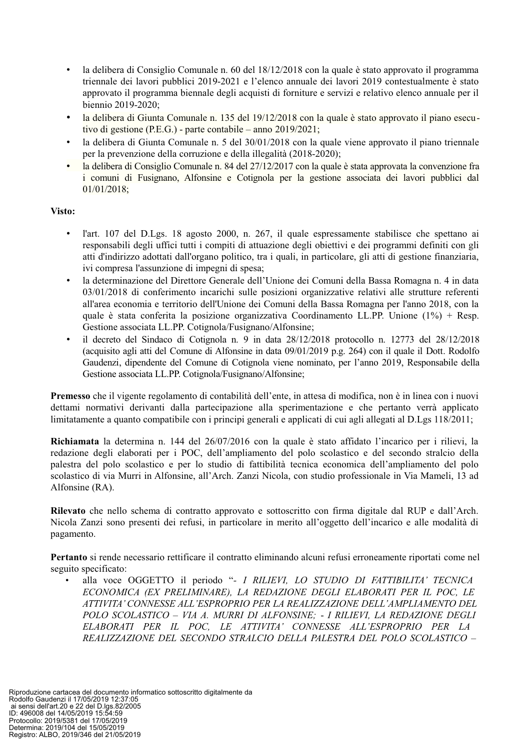- la delibera di Consiglio Comunale n. 60 del 18/12/2018 con la quale è stato approvato il programma triennale dei lavori pubblici 2019-2021 e l'elenco annuale dei lavori 2019 contestualmente è stato approvato il programma biennale degli acquisti di forniture e servizi e relativo elenco annuale per il biennio 2019-2020:
- la delibera di Giunta Comunale n. 135 del 19/12/2018 con la quale è stato approvato il piano esecutivo di gestione (P.E.G.) - parte contabile – anno  $2019/2021$ ;
- la delibera di Giunta Comunale n. 5 del 30/01/2018 con la quale viene approvato il piano triennale  $\bullet$ per la prevenzione della corruzione e della illegalità (2018-2020);
- la delibera di Consiglio Comunale n. 84 del 27/12/2017 con la quale è stata approvata la convenzione fra i comuni di Fusignano. Alfonsine e Cotignola per la gestione associata dei lavori pubblici dal  $01/01/2018;$

### Visto:

- l'art. 107 del D.Lgs. 18 agosto 2000, n. 267, il quale espressamente stabilisce che spettano ai responsabili degli uffici tutti i compiti di attuazione degli obiettivi e dei programmi definiti con gli atti d'indirizzo adottati dall'organo politico, tra i quali, in particolare, gli atti di gestione finanziaria, ivi compresa l'assunzione di impegni di spesa;
- la determinazione del Direttore Generale dell'Unione dei Comuni della Bassa Romagna n. 4 in data  $\bullet$ 03/01/2018 di conferimento incarichi sulle posizioni organizzative relativi alle strutture referenti all'area economia e territorio dell'Unione dei Comuni della Bassa Romagna per l'anno 2018, con la quale è stata conferita la posizione organizzativa Coordinamento LL.PP. Unione  $(1%)$  + Resp. Gestione associata LL.PP. Cotignola/Fusignano/Alfonsine;
- il decreto del Sindaco di Cotignola n. 9 in data  $28/12/2018$  protocollo n. 12773 del  $28/12/2018$ (acquisito agli atti del Comune di Alfonsine in data 09/01/2019 p.g. 264) con il quale il Dott. Rodolfo Gaudenzi, dipendente del Comune di Cotignola viene nominato, per l'anno 2019, Responsabile della Gestione associata LL.PP. Cotignola/Fusignano/Alfonsine;

Premesso che il vigente regolamento di contabilità dell'ente, in attesa di modifica, non è in linea con i nuovi dettami normativi derivanti dalla partecipazione alla sperimentazione e che pertanto verrà applicato limitatamente a quanto compatibile con i principi generali e applicati di cui agli allegati al D.Lgs 118/2011;

Richiamata la determina n. 144 del 26/07/2016 con la quale è stato affidato l'incarico per i rilievi, la redazione degli elaborati per i POC, dell'ampliamento del polo scolastico e del secondo stralcio della palestra del polo scolastico e per lo studio di fattibilità tecnica economica dell'ampliamento del polo scolastico di via Murri in Alfonsine, all'Arch. Zanzi Nicola, con studio professionale in Via Mameli, 13 ad Alfonsine (RA).

Rilevato che nello schema di contratto approvato e sottoscritto con firma digitale dal RUP e dall'Arch. Nicola Zanzi sono presenti dei refusi, in particolare in merito all'oggetto dell'incarico e alle modalità di pagamento.

Pertanto si rende necessario rettificare il contratto eliminando alcuni refusi erroneamente riportati come nel seguito specificato:

alla voce OGGETTO il periodo "- I RILIEVI, LO STUDIO DI FATTIBILITA' TECNICA ECONOMICA (EX PRELIMINARE). LA REDAZIONE DEGLI ELABORATI PER IL POC. LE ATTIVITA' CONNESSE ALL'ESPROPRIO PER LA REALIZZAZIONE DELL'AMPLIAMENTO DEL POLO SCOLASTICO - VIA A. MURRI DI ALFONSINE; - I RILIEVI, LA REDAZIONE DEGLI ELABORATI PER IL POC, LE ATTIVITA' CONNESSE ALL'ESPROPRIO PER LA REALIZZAZIONE DEL SECONDO STRALCIO DELLA PALESTRA DEL POLO SCOLASTICO -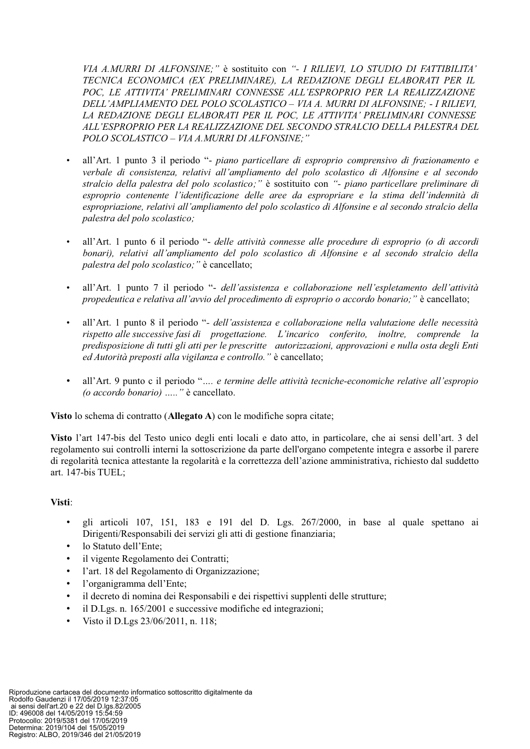VIA A.MURRI DI ALFONSINE;" è sostituito con "- I RILIEVI, LO STUDIO DI FATTIBILITA' TECNICA ECONOMICA (EX PRELIMINARE), LA REDAZIONE DEGLI ELABORATI PER IL POC, LE ATTIVITA' PRELIMINARI CONNESSE ALL'ESPROPRIO PER LA REALIZZAZIONE DELL'AMPLIAMENTO DEL POLO SCOLASTICO - VIA A. MURRI DI ALFONSINE; - I RILIEVI, LA REDAZIONE DEGLI ELABORATI PER IL POC. LE ATTIVITA' PRELIMINARI CONNESSE ALL'ESPROPRIO PER LA REALIZZAZIONE DEL SECONDO STRALCIO DELLA PALESTRA DEL POLO SCOLASTICO - VIA A.MURRI DI ALFONSINE;"

- all'Art. 1 punto 3 il periodo "- piano particellare di esproprio comprensivo di frazionamento e verbale di consistenza, relativi all'ampliamento del polo scolastico di Alfonsine e al secondo stralcio della palestra del polo scolastico;" è sostituito con "- piano particellare preliminare di esproprio contenente l'identificazione delle aree da espropriare e la stima dell'indennità di espropriazione, relativi all'ampliamento del polo scolastico di Alfonsine e al secondo stralcio della palestra del polo scolastico;
- all'Art. 1 punto 6 il periodo "- delle attività connesse alle procedure di esproprio (o di accordi  $\bullet$ bonari), relativi all'ampliamento del polo scolastico di Alfonsine e al secondo stralcio della palestra del polo scolastico;" è cancellato;
- all'Art. 1 punto 7 il periodo "- dell'assistenza e collaborazione nell'espletamento dell'attività propedeutica e relativa all'avvio del procedimento di esproprio o accordo bonario; " è cancellato;
- all'Art. 1 punto 8 il periodo "- dell'assistenza e collaborazione nella valutazione delle necessità rispetto alle successive fasi di progettazione. L'incarico conferito, inoltre, comprende la predisposizione di tutti gli atti per le prescritte autorizzazioni, approvazioni e nulla osta degli Enti ed Autorità preposti alla vigilanza e controllo." è cancellato;
- all'Art. 9 punto c il periodo ".... e termine delle attività tecniche-economiche relative all'espropio (o accordo bonario) ....." è cancellato.

Visto lo schema di contratto (Allegato A) con le modifiche sopra citate;

Visto l'art 147-bis del Testo unico degli enti locali e dato atto, in particolare, che ai sensi dell'art. 3 del regolamento sui controlli interni la sottoscrizione da parte dell'organo competente integra e assorbe il parere di regolarità tecnica attestante la regolarità e la correttezza dell'azione amministrativa, richiesto dal suddetto art. 147-bis TUEL:

### Visti:

- gli articoli 107, 151, 183 e 191 del D. Lgs.  $267/2000$ , in base al quale spettano ai  $\bullet$ Dirigenti/Responsabili dei servizi gli atti di gestione finanziaria;
- $\bullet$ lo Statuto dell'Ente;
- il vigente Regolamento dei Contratti;
- l'art. 18 del Regolamento di Organizzazione;  $\bullet$
- l'organigramma dell'Ente;  $\bullet$
- $\bullet$ il decreto di nomina dei Responsabili e dei rispettivi supplenti delle strutture;
- il D.Lgs. n. 165/2001 e successive modifiche ed integrazioni;
- Visto il D.Lgs 23/06/2011, n. 118: